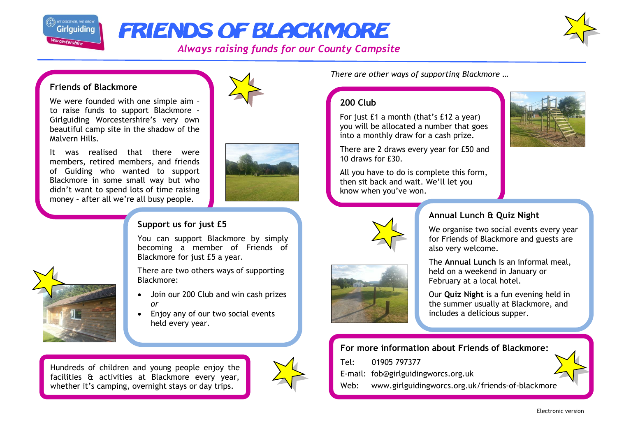

# FRIENDS OF BLACKMORE

*Always raising funds for our County Campsite*



#### **Friends of Blackmore**

We were founded with one simple aim to raise funds to support Blackmore - Girlguiding Worcestershire's very own beautiful camp site in the shadow of the Malvern Hills.

It was realised that there were members, retired members, and friends of Guiding who wanted to support Blackmore in some small way but who didn't want to spend lots of time raising money – after all we're all busy people.



# **Support us for just £5**

You can support Blackmore by simply becoming a member of Friends of Blackmore for just £5 a year.

There are two others ways of supporting Blackmore:

- Join our 200 Club and win cash prizes *or*
- Enjoy any of our two social events held every year.

Hundreds of children and young people enjoy the facilities & activities at Blackmore every year, whether it's camping, overnight stays or day trips.



*There are other ways of supporting Blackmore …*

## **200 Club**

For just £1 a month (that's £12 a year) you will be allocated a number that goes into a monthly draw for a cash prize.

There are 2 draws every year for £50 and 10 draws for £30.

All you have to do is complete this form, then sit back and wait. We'll let you know when you've won.







### **Annual Lunch & Quiz Night**

We organise two social events every year for Friends of Blackmore and guests are also very welcome.

The **Annual Lunch** is an informal meal, held on a weekend in January or February at a local hotel.

Our **Quiz Night** is a fun evening held in the summer usually at Blackmore, and includes a delicious supper.

**For more information about Friends of Blackmore:**

Tel: 01905 797377

E-mail: fob@girlguidingworcs.org.uk

Web: www.girlguidingworcs.org.uk/friends-of-blackmore